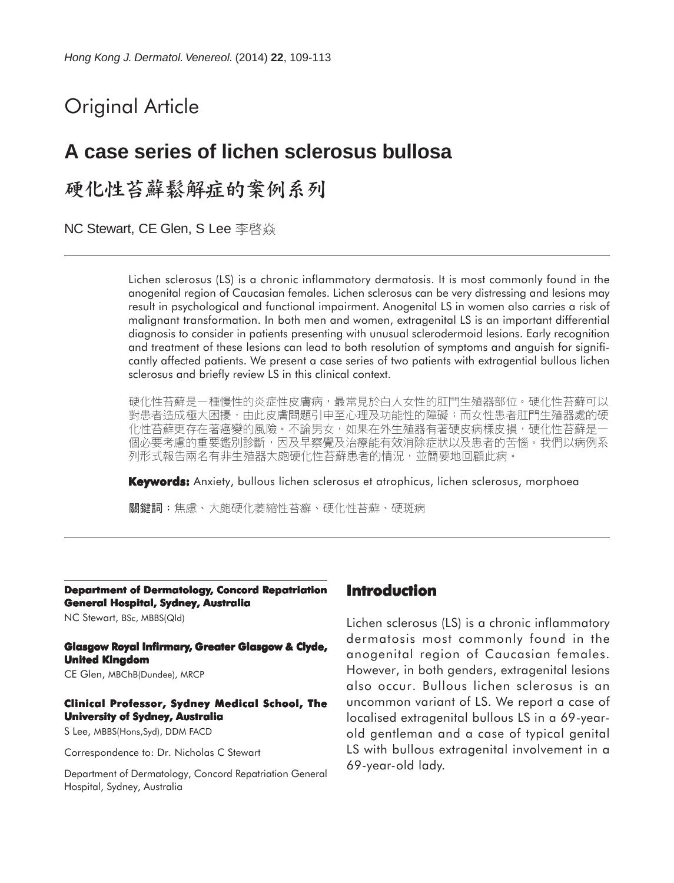# Original Article

## **A case series of lichen sclerosus bullosa**

## 硬化性苔藓鬆解症的案例系列

**NC Stewart, CE Glen, S Lee** 李啓焱

Lichen sclerosus (LS) is a chronic inflammatory dermatosis. It is most commonly found in the anogenital region of Caucasian females. Lichen sclerosus can be very distressing and lesions may result in psychological and functional impairment. Anogenital LS in women also carries a risk of malignant transformation. In both men and women, extragenital LS is an important differential diagnosis to consider in patients presenting with unusual sclerodermoid lesions. Early recognition and treatment of these lesions can lead to both resolution of symptoms and anguish for significantly affected patients. We present a case series of two patients with extragential bullous lichen sclerosus and briefly review LS in this clinical context.

硬化性苔蘚是一種慢性的炎症性皮膚病,最常見於白人女性的肛門生殖器部位。硬化性苔蘚可以 對患者造成極大困擾,由此皮膚問題引申至心理及功能性的障礙;而女性患者肛門生殖器處的硬 化性苔蘚更存在著癌變的風險。不論男女,如果在外生殖器有著硬皮病樣皮損,硬化性苔蘚是一 個必要考慮的重要鑑別診斷,因及早察覺及治療能有效消除症狀以及患者的苦惱。我們以病例系 列形式報告兩名有非生殖器大皰硬化性苔蘚患者的情況,並簡要地回顧此病。

**Keywords:** Anxiety, bullous lichen sclerosus et atrophicus, lichen sclerosus, morphoea

關鍵詞:焦慮、大皰硬化萎縮性苔癬、硬化性苔蘚、硬斑病

**Department of Dermatology, Concord Repatriation General Hospital, Sydney, Australia**

NC Stewart, BSc, MBBS(Qld)

#### **Glasgow Royal Infirmary, Greater Glasgow & Clyde, United Kingdom**

CE Glen, MBChB(Dundee), MRCP

#### **Clinical Professor, Sydney Medical School, The University of Sydney, Australia**

S Lee, MBBS(Hons,Syd), DDM FACD

Correspondence to: Dr. Nicholas C Stewart

Department of Dermatology, Concord Repatriation General Hospital, Sydney, Australia

#### **Introduction**

Lichen sclerosus (LS) is a chronic inflammatory dermatosis most commonly found in the anogenital region of Caucasian females. However, in both genders, extragenital lesions also occur. Bullous lichen sclerosus is an uncommon variant of LS. We report a case of localised extragenital bullous LS in a 69-yearold gentleman and a case of typical genital LS with bullous extragenital involvement in a 69-year-old lady.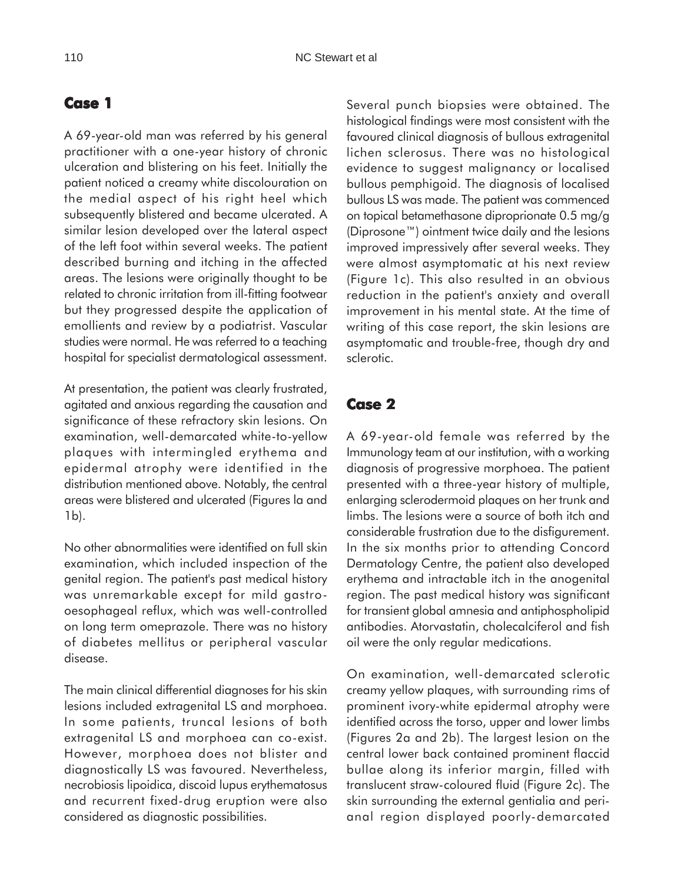### **Case 1**

A 69-year-old man was referred by his general practitioner with a one-year history of chronic ulceration and blistering on his feet. Initially the patient noticed a creamy white discolouration on the medial aspect of his right heel which subsequently blistered and became ulcerated. A similar lesion developed over the lateral aspect of the left foot within several weeks. The patient described burning and itching in the affected areas. The lesions were originally thought to be related to chronic irritation from ill-fitting footwear but they progressed despite the application of emollients and review by a podiatrist. Vascular studies were normal. He was referred to a teaching hospital for specialist dermatological assessment.

At presentation, the patient was clearly frustrated, agitated and anxious regarding the causation and significance of these refractory skin lesions. On examination, well-demarcated white-to-yellow plaques with intermingled erythema and epidermal atrophy were identified in the distribution mentioned above. Notably, the central areas were blistered and ulcerated (Figures la and 1b).

No other abnormalities were identified on full skin examination, which included inspection of the genital region. The patient's past medical history was unremarkable except for mild gastrooesophageal reflux, which was well-controlled on long term omeprazole. There was no history of diabetes mellitus or peripheral vascular disease.

The main clinical differential diagnoses for his skin lesions included extragenital LS and morphoea. In some patients, truncal lesions of both extragenital LS and morphoea can co-exist. However, morphoea does not blister and diagnostically LS was favoured. Nevertheless, necrobiosis lipoidica, discoid lupus erythematosus and recurrent fixed-drug eruption were also considered as diagnostic possibilities.

Several punch biopsies were obtained. The histological findings were most consistent with the favoured clinical diagnosis of bullous extragenital lichen sclerosus. There was no histological evidence to suggest malignancy or localised bullous pemphigoid. The diagnosis of localised bullous LS was made. The patient was commenced on topical betamethasone diproprionate 0.5 mg/g (Diprosone™) ointment twice daily and the lesions improved impressively after several weeks. They were almost asymptomatic at his next review (Figure 1c). This also resulted in an obvious reduction in the patient's anxiety and overall improvement in his mental state. At the time of writing of this case report, the skin lesions are asymptomatic and trouble-free, though dry and sclerotic.

### **Case 2**

A 69-year-old female was referred by the Immunology team at our institution, with a working diagnosis of progressive morphoea. The patient presented with a three-year history of multiple, enlarging sclerodermoid plaques on her trunk and limbs. The lesions were a source of both itch and considerable frustration due to the disfigurement. In the six months prior to attending Concord Dermatology Centre, the patient also developed erythema and intractable itch in the anogenital region. The past medical history was significant for transient global amnesia and antiphospholipid antibodies. Atorvastatin, cholecalciferol and fish oil were the only regular medications.

On examination, well-demarcated sclerotic creamy yellow plaques, with surrounding rims of prominent ivory-white epidermal atrophy were identified across the torso, upper and lower limbs (Figures 2a and 2b). The largest lesion on the central lower back contained prominent flaccid bullae along its inferior margin, filled with translucent straw-coloured fluid (Figure 2c). The skin surrounding the external gentialia and perianal region displayed poorly-demarcated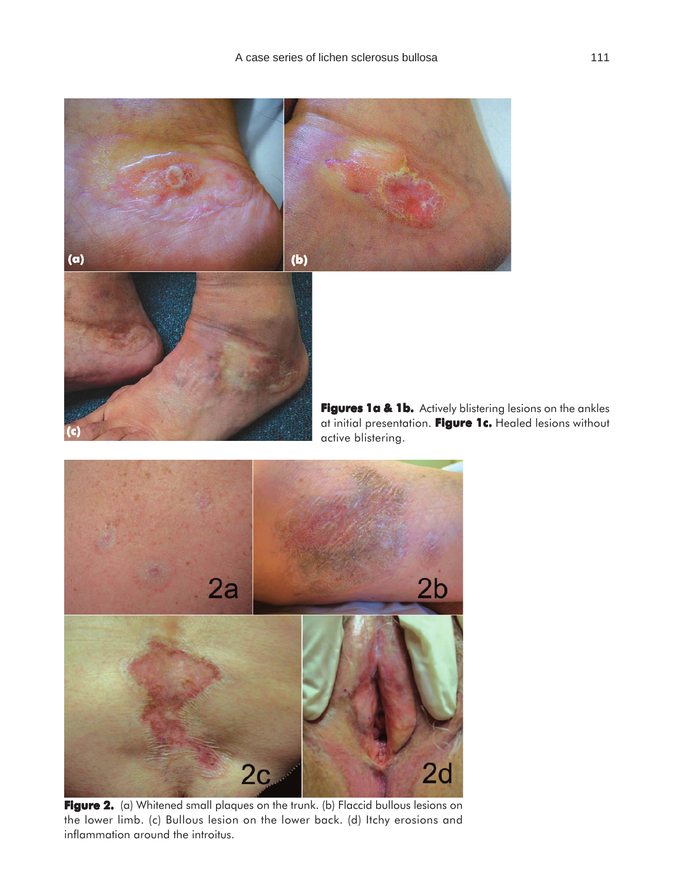



**Figure 2.** (a) Whitened small plaques on the trunk. (b) Flaccid bullous lesions on the lower limb. (c) Bullous lesion on the lower back. (d) Itchy erosions and inflammation around the introitus.

**Figures 1a & 1b.** Actively blistering lesions on the ankles at initial presentation. **Figure 1c. Figure 1c.** Healed lesions without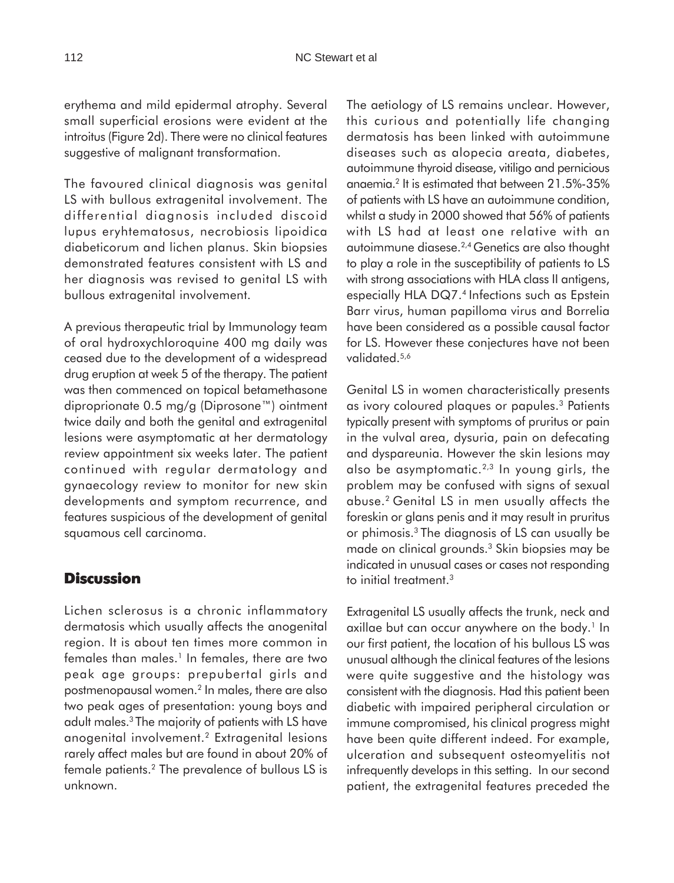erythema and mild epidermal atrophy. Several small superficial erosions were evident at the introitus (Figure 2d). There were no clinical features suggestive of malignant transformation.

The favoured clinical diagnosis was genital LS with bullous extragenital involvement. The differential diagnosis included discoid lupus eryhtematosus, necrobiosis lipoidica diabeticorum and lichen planus. Skin biopsies demonstrated features consistent with LS and her diagnosis was revised to genital LS with bullous extragenital involvement.

A previous therapeutic trial by Immunology team of oral hydroxychloroquine 400 mg daily was ceased due to the development of a widespread drug eruption at week 5 of the therapy. The patient was then commenced on topical betamethasone diproprionate 0.5 mg/g (Diprosone™) ointment twice daily and both the genital and extragenital lesions were asymptomatic at her dermatology review appointment six weeks later. The patient continued with regular dermatology and gynaecology review to monitor for new skin developments and symptom recurrence, and features suspicious of the development of genital squamous cell carcinoma.

#### **Discussion**

Lichen sclerosus is a chronic inflammatory dermatosis which usually affects the anogenital region. It is about ten times more common in females than males.<sup>1</sup> In females, there are two peak age groups: prepubertal girls and postmenopausal women.2 In males, there are also two peak ages of presentation: young boys and adult males.3 The majority of patients with LS have anogenital involvement.2 Extragenital lesions rarely affect males but are found in about 20% of female patients.2 The prevalence of bullous LS is unknown.

The aetiology of LS remains unclear. However, this curious and potentially life changing dermatosis has been linked with autoimmune diseases such as alopecia areata, diabetes, autoimmune thyroid disease, vitiligo and pernicious anaemia.2 It is estimated that between 21.5%-35% of patients with LS have an autoimmune condition, whilst a study in 2000 showed that 56% of patients with LS had at least one relative with an autoimmune diasese.2,4 Genetics are also thought to play a role in the susceptibility of patients to LS with strong associations with HLA class II antigens, especially HLA DQ7.4 Infections such as Epstein Barr virus, human papilloma virus and Borrelia have been considered as a possible causal factor for LS. However these conjectures have not been validated.<sup>5,6</sup>

Genital LS in women characteristically presents as ivory coloured plaques or papules.3 Patients typically present with symptoms of pruritus or pain in the vulval area, dysuria, pain on defecating and dyspareunia. However the skin lesions may also be asymptomatic.<sup>2,3</sup> In young girls, the problem may be confused with signs of sexual abuse.2 Genital LS in men usually affects the foreskin or glans penis and it may result in pruritus or phimosis.3 The diagnosis of LS can usually be made on clinical grounds.3 Skin biopsies may be indicated in unusual cases or cases not responding to initial treatment.<sup>3</sup>

Extragenital LS usually affects the trunk, neck and axillae but can occur anywhere on the body.<sup>1</sup> In our first patient, the location of his bullous LS was unusual although the clinical features of the lesions were quite suggestive and the histology was consistent with the diagnosis. Had this patient been diabetic with impaired peripheral circulation or immune compromised, his clinical progress might have been quite different indeed. For example, ulceration and subsequent osteomyelitis not infrequently develops in this setting. In our second patient, the extragenital features preceded the